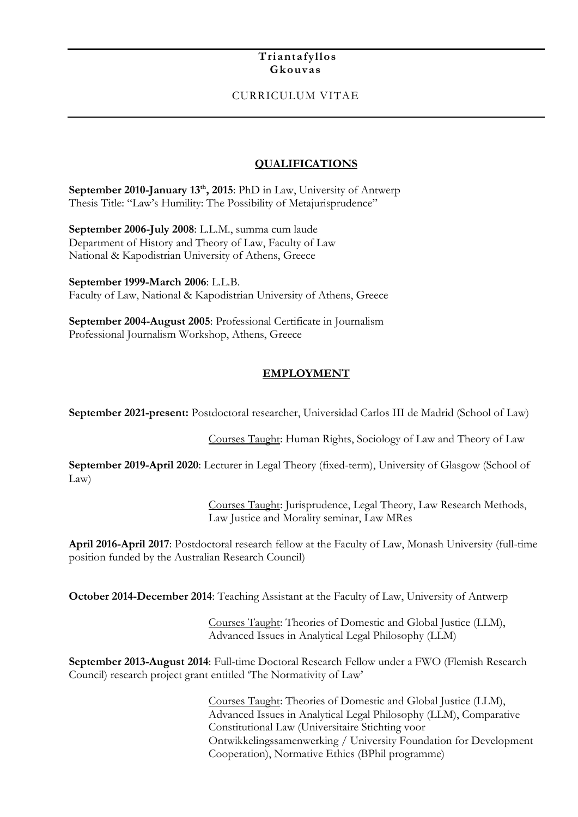#### **Triantafyllos Gkouvas**

### CURRICULUM VITAE

### **QUALIFICATIONS**

**September 2010-January 13th , 2015**: PhD in Law, University of Antwerp Thesis Title: "Law's Humility: The Possibility of Metajurisprudence"

**September 2006-July 2008**: L.L.M., summa cum laude Department of History and Theory of Law, Faculty of Law National & Kapodistrian University of Athens, Greece

**September 1999-March 2006**: L.L.B. Faculty of Law, National & Kapodistrian University of Athens, Greece

**September 2004-August 2005**: Professional Certificate in Journalism Professional Journalism Workshop, Athens, Greece

#### **EMPLOYMENT**

**September 2021-present:** Postdoctoral researcher, Universidad Carlos III de Madrid (School of Law)

Courses Taught: Human Rights, Sociology of Law and Theory of Law

**September 2019-April 2020**: Lecturer in Legal Theory (fixed-term), University of Glasgow (School of Law)

> Courses Taught: Jurisprudence, Legal Theory, Law Research Methods, Law Justice and Morality seminar, Law MRes

**April 2016-April 2017**: Postdoctoral research fellow at the Faculty of Law, Monash University (full-time position funded by the Australian Research Council)

**October 2014-December 2014**: Teaching Assistant at the Faculty of Law, University of Antwerp

Courses Taught: Theories of Domestic and Global Justice (LLM), Advanced Issues in Analytical Legal Philosophy (LLM)

**September 2013-August 2014**: Full-time Doctoral Research Fellow under a FWO (Flemish Research Council) research project grant entitled 'The Normativity of Law'

> Courses Taught: Theories of Domestic and Global Justice (LLM), Advanced Issues in Analytical Legal Philosophy (LLM), Comparative Constitutional Law (Universitaire Stichting voor Ontwikkelingssamenwerking / University Foundation for Development Cooperation), Normative Ethics (BPhil programme)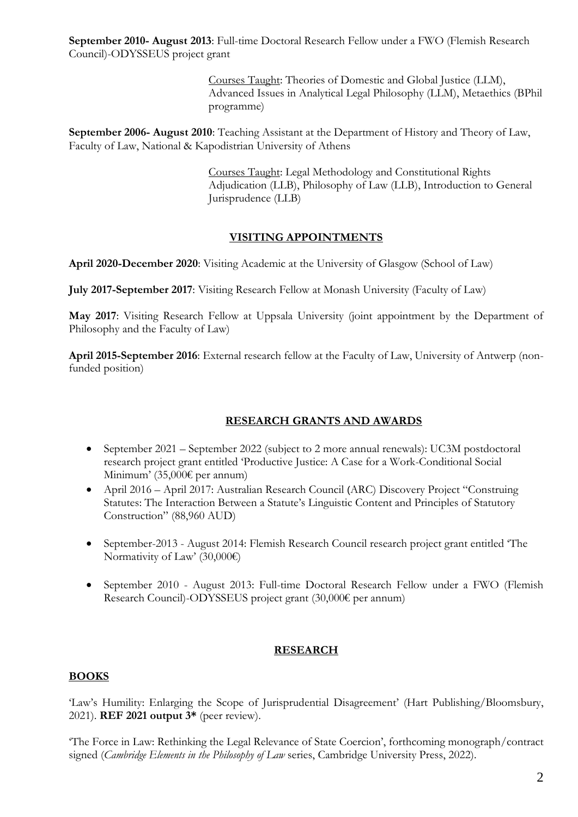**September 2010- August 2013**: Full-time Doctoral Research Fellow under a FWO (Flemish Research Council)-ODYSSEUS project grant

> Courses Taught: Theories of Domestic and Global Justice (LLM), Advanced Issues in Analytical Legal Philosophy (LLM), Metaethics (BPhil programme)

**September 2006- August 2010**: Teaching Assistant at the Department of History and Theory of Law, Faculty of Law, National & Kapodistrian University of Athens

> Courses Taught: Legal Methodology and Constitutional Rights Adjudication (LLB), Philosophy of Law (LLB), Introduction to General Jurisprudence (LLB)

### **VISITING APPOINTMENTS**

**April 2020-December 2020**: Visiting Academic at the University of Glasgow (School of Law)

**July 2017-September 2017**: Visiting Research Fellow at Monash University (Faculty of Law)

**May 2017**: Visiting Research Fellow at Uppsala University (joint appointment by the Department of Philosophy and the Faculty of Law)

**April 2015-September 2016**: External research fellow at the Faculty of Law, University of Antwerp (nonfunded position)

# **RESEARCH GRANTS AND AWARDS**

- September 2021 September 2022 (subject to 2 more annual renewals): UC3M postdoctoral research project grant entitled 'Productive Justice: A Case for a Work-Conditional Social Minimum' (35,000€ per annum)
- April 2016 April 2017: Australian Research Council (ARC) Discovery Project "Construing Statutes: The Interaction Between a Statute's Linguistic Content and Principles of Statutory Construction" (88,960 AUD)
- September-2013 August 2014: Flemish Research Council research project grant entitled 'The Normativity of Law' (30,000€)
- September 2010 August 2013: Full-time Doctoral Research Fellow under a FWO (Flemish Research Council)-ODYSSEUS project grant (30,000€ per annum)

### **RESEARCH**

### **BOOKS**

'Law's Humility: Enlarging the Scope of Jurisprudential Disagreement' (Hart Publishing/Bloomsbury, 2021). **REF 2021 output 3\*** (peer review).

'The Force in Law: Rethinking the Legal Relevance of State Coercion', forthcoming monograph/contract signed (*Cambridge Elements in the Philosophy of Law* series, Cambridge University Press, 2022).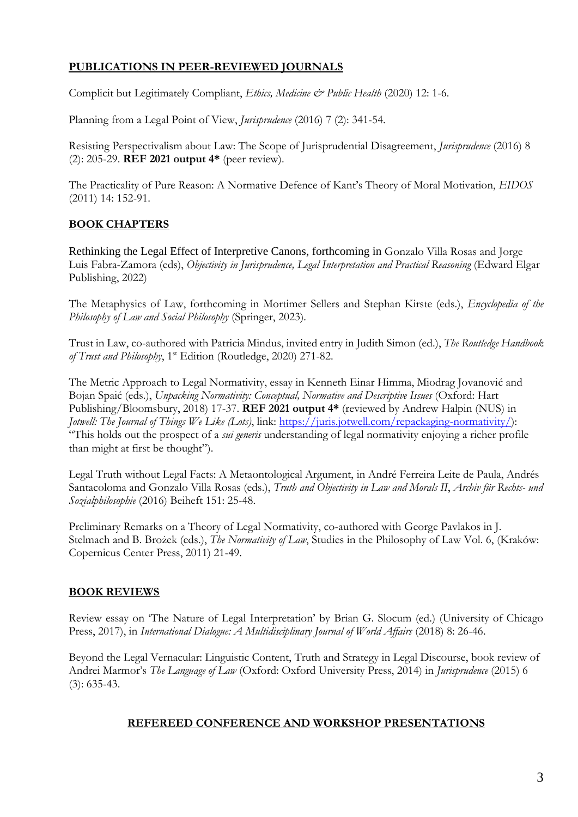### **PUBLICATIONS IN PEER-REVIEWED JOURNALS**

Complicit but Legitimately Compliant, *Ethics, Medicine & Public Health* (2020) 12: 1-6.

Planning from a Legal Point of View, *Jurisprudence* (2016) 7 (2): 341-54.

Resisting Perspectivalism about Law: The Scope of Jurisprudential Disagreement, *Jurisprudence* (2016) 8 (2): 205-29. **REF 2021 output 4\*** (peer review).

The Practicality of Pure Reason: A Normative Defence of Kant's Theory of Moral Motivation, *EIDOS*  (2011) 14: 152-91.

### **BOOK CHAPTERS**

Rethinking the Legal Effect of Interpretive Canons, forthcoming in Gonzalo Villa Rosas and Jorge Luis Fabra-Zamora (eds), *Objectivity in Jurisprudence, Legal Interpretation and Practical Reasoning* (Edward Elgar Publishing, 2022)

The Metaphysics of Law, forthcoming in Mortimer Sellers and Stephan Kirste (eds.), *Encyclopedia of the Philosophy of Law and Social Philosophy* (Springer, 2023).

Trust in Law, co-authored with Patricia Mindus, invited entry in Judith Simon (ed.), *The Routledge Handbook of Trust and Philosophy*, 1st Edition (Routledge, 2020) 271-82.

The Metric Approach to Legal Normativity, essay in Kenneth Einar Himma, Miodrag Jovanović and Bojan Spaić (eds.), *Unpacking Normativity: Conceptual, Normative and Descriptive Issues* (Oxford: Hart Publishing/Bloomsbury, 2018) 17-37. **REF 2021 output 4\*** (reviewed by Andrew Halpin (NUS) in *Jotwell: The Journal of Things We Like (Lots)*, link: [https://juris.jotwell.com/repackaging-normativity/\)](https://juris.jotwell.com/repackaging-normativity/): "This holds out the prospect of a *sui generis* understanding of legal normativity enjoying a richer profile than might at first be thought").

Legal Truth without Legal Facts: A Metaontological Argument, in André Ferreira Leite de Paula, Andrés Santacoloma and Gonzalo Villa Rosas (eds.), *Truth and Objectivity in Law and Morals II*, *Archiv für Rechts- und Sozialphilosophie* (2016) Beiheft 151: 25-48.

Preliminary Remarks on a Theory of Legal Normativity, co-authored with George Pavlakos in J. Stelmach and B. Brożek (eds.), *The Normativity of Law*, Studies in the Philosophy of Law Vol. 6, (Kraków: Copernicus Center Press, 2011) 21-49.

### **BOOK REVIEWS**

Review essay on 'The Nature of Legal Interpretation' by Brian G. Slocum (ed.) (University of Chicago Press, 2017), in *International Dialogue: A Multidisciplinary Journal of World Affairs* (2018) 8: 26-46.

Beyond the Legal Vernacular: Linguistic Content, Truth and Strategy in Legal Discourse, book review of Andrei Marmor's *The Language of Law* (Oxford: Oxford University Press, 2014) in *Jurisprudence* (2015) 6 (3): 635-43.

### **REFEREED CONFERENCE AND WORKSHOP PRESENTATIONS**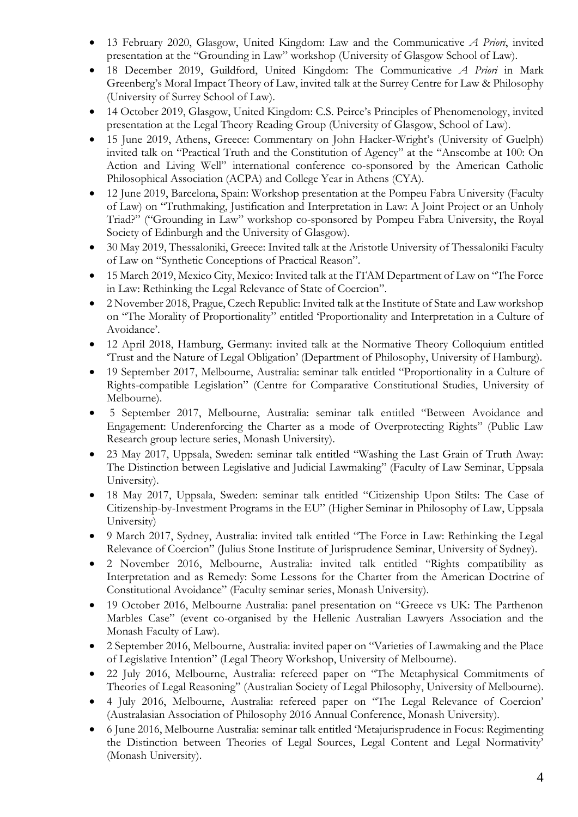- 13 February 2020, Glasgow, United Kingdom: Law and the Communicative *A Priori*, invited presentation at the "Grounding in Law" workshop (University of Glasgow School of Law).
- 18 December 2019, Guildford, United Kingdom: The Communicative *A Priori* in Mark Greenberg's Moral Impact Theory of Law, invited talk at the Surrey Centre for Law & Philosophy (University of Surrey School of Law).
- 14 October 2019, Glasgow, United Kingdom: C.S. Peirce's Principles of Phenomenology, invited presentation at the Legal Theory Reading Group (University of Glasgow, School of Law).
- 15 June 2019, Athens, Greece: Commentary on John Hacker-Wright's (University of Guelph) invited talk on "Practical Truth and the Constitution of Agency" at the "Anscombe at 100: On Action and Living Well" international conference co-sponsored by the American Catholic Philosophical Association (ACPA) and College Year in Athens (CYA).
- 12 June 2019, Barcelona, Spain: Workshop presentation at the Pompeu Fabra University (Faculty of Law) on "Truthmaking, Justification and Interpretation in Law: A Joint Project or an Unholy Triad?" ("Grounding in Law" workshop co-sponsored by Pompeu Fabra University, the Royal Society of Edinburgh and the University of Glasgow).
- 30 May 2019, Thessaloniki, Greece: Invited talk at the Aristotle University of Thessaloniki Faculty of Law on "Synthetic Conceptions of Practical Reason".
- 15 March 2019, Mexico City, Mexico: Invited talk at the ITAM Department of Law on "The Force" in Law: Rethinking the Legal Relevance of State of Coercion".
- 2 November 2018, Prague, Czech Republic: Invited talk at the Institute of State and Law workshop on "The Morality of Proportionality" entitled 'Proportionality and Interpretation in a Culture of Avoidance'.
- 12 April 2018, Hamburg, Germany: invited talk at the Normative Theory Colloquium entitled 'Trust and the Nature of Legal Obligation' (Department of Philosophy, University of Hamburg).
- 19 September 2017, Melbourne, Australia: seminar talk entitled "Proportionality in a Culture of Rights-compatible Legislation" (Centre for Comparative Constitutional Studies, University of Melbourne).
- 5 September 2017, Melbourne, Australia: seminar talk entitled "Between Avoidance and Engagement: Underenforcing the Charter as a mode of Overprotecting Rights" (Public Law Research group lecture series, Monash University).
- 23 May 2017, Uppsala, Sweden: seminar talk entitled "Washing the Last Grain of Truth Away: The Distinction between Legislative and Judicial Lawmaking" (Faculty of Law Seminar, Uppsala University).
- 18 May 2017, Uppsala, Sweden: seminar talk entitled "Citizenship Upon Stilts: The Case of Citizenship-by-Investment Programs in the EU" (Higher Seminar in Philosophy of Law, Uppsala University)
- 9 March 2017, Sydney, Australia: invited talk entitled "The Force in Law: Rethinking the Legal Relevance of Coercion" (Julius Stone Institute of Jurisprudence Seminar, University of Sydney).
- 2 November 2016, Melbourne, Australia: invited talk entitled "Rights compatibility as Interpretation and as Remedy: Some Lessons for the Charter from the American Doctrine of Constitutional Avoidance" (Faculty seminar series, Monash University).
- 19 October 2016, Melbourne Australia: panel presentation on "Greece vs UK: The Parthenon Marbles Case" (event co-organised by the Hellenic Australian Lawyers Association and the Monash Faculty of Law).
- 2 September 2016, Melbourne, Australia: invited paper on "Varieties of Lawmaking and the Place of Legislative Intention" (Legal Theory Workshop, University of Melbourne).
- 22 July 2016, Melbourne, Australia: refereed paper on "The Metaphysical Commitments of Theories of Legal Reasoning" (Australian Society of Legal Philosophy, University of Melbourne).
- 4 July 2016, Melbourne, Australia: refereed paper on "The Legal Relevance of Coercion' (Australasian Association of Philosophy 2016 Annual Conference, Monash University).
- 6 June 2016, Melbourne Australia: seminar talk entitled 'Metajurisprudence in Focus: Regimenting the Distinction between Theories of Legal Sources, Legal Content and Legal Normativity' (Monash University).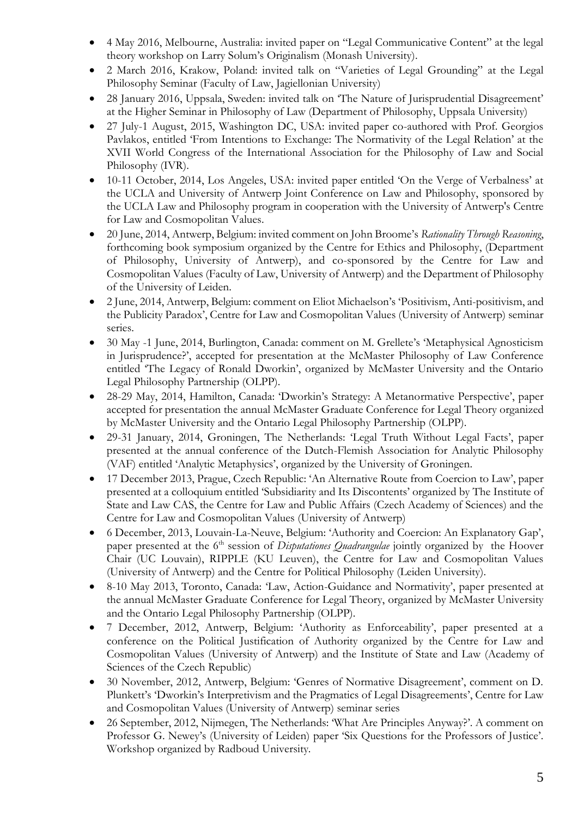- 4 May 2016, Melbourne, Australia: invited paper on "Legal Communicative Content" at the legal theory workshop on Larry Solum's Originalism (Monash University).
- 2 March 2016, Krakow, Poland: invited talk on "Varieties of Legal Grounding" at the Legal Philosophy Seminar (Faculty of Law, Jagiellonian University)
- 28 January 2016, Uppsala, Sweden: invited talk on 'The Nature of Jurisprudential Disagreement' at the Higher Seminar in Philosophy of Law (Department of Philosophy, Uppsala University)
- 27 July-1 August, 2015, Washington DC, USA: invited paper co-authored with Prof. Georgios Pavlakos, entitled 'From Intentions to Exchange: The Normativity of the Legal Relation' at the XVII World Congress of the International Association for the Philosophy of Law and Social Philosophy (IVR).
- 10-11 October, 2014, Los Angeles, USA: invited paper entitled 'On the Verge of Verbalness' at the UCLA and University of Antwerp Joint Conference on Law and Philosophy, sponsored by the UCLA Law and Philosophy program in cooperation with the University of Antwerp's Centre for Law and Cosmopolitan Values.
- 20 June, 2014, Antwerp, Belgium: invited comment on John Broome's *Rationality Through Reasoning*, forthcoming book symposium organized by the Centre for Ethics and Philosophy, (Department of Philosophy, University of Antwerp), and co-sponsored by the Centre for Law and Cosmopolitan Values (Faculty of Law, University of Antwerp) and the Department of Philosophy of the University of Leiden.
- 2 June, 2014, Antwerp, Belgium: comment on Eliot Michaelson's 'Positivism, Anti-positivism, and the Publicity Paradox', Centre for Law and Cosmopolitan Values (University of Antwerp) seminar series.
- 30 May -1 June, 2014, Burlington, Canada: comment on M. Grellete's 'Metaphysical Agnosticism in Jurisprudence?', accepted for presentation at the McMaster Philosophy of Law Conference entitled 'The Legacy of Ronald Dworkin', organized by McMaster University and the Ontario Legal Philosophy Partnership (OLPP).
- 28-29 May, 2014, Hamilton, Canada: 'Dworkin's Strategy: A Metanormative Perspective', paper accepted for presentation the annual McMaster Graduate Conference for Legal Theory organized by McMaster University and the Ontario Legal Philosophy Partnership (OLPP).
- 29-31 January, 2014, Groningen, The Netherlands: 'Legal Truth Without Legal Facts', paper presented at the annual conference of the Dutch-Flemish Association for Analytic Philosophy (VAF) entitled 'Analytic Metaphysics', organized by the University of Groningen.
- 17 December 2013, Prague, Czech Republic: 'An Alternative Route from Coercion to Law', paper presented at a colloquium entitled 'Subsidiarity and Its Discontents' organized by The Institute of State and Law CAS, the Centre for Law and Public Affairs (Czech Academy of Sciences) and the Centre for Law and Cosmopolitan Values (University of Antwerp)
- 6 December, 2013, Louvain-La-Neuve, Belgium: 'Authority and Coercion: An Explanatory Gap', paper presented at the 6<sup>th</sup> session of *Disputationes Quadrangulae* jointly organized by the Hoover Chair (UC Louvain), RIPPLE (KU Leuven), the Centre for Law and Cosmopolitan Values (University of Antwerp) and the Centre for Political Philosophy (Leiden University).
- 8-10 May 2013, Toronto, Canada: 'Law, Action-Guidance and Normativity', paper presented at the annual McMaster Graduate Conference for Legal Theory, organized by McMaster University and the Ontario Legal Philosophy Partnership (OLPP).
- 7 December, 2012, Antwerp, Belgium: 'Authority as Enforceability', paper presented at a conference on the Political Justification of Authority organized by the Centre for Law and Cosmopolitan Values (University of Antwerp) and the Institute of State and Law (Academy of Sciences of the Czech Republic)
- 30 November, 2012, Antwerp, Belgium: 'Genres of Normative Disagreement', comment on D. Plunkett's 'Dworkin's Interpretivism and the Pragmatics of Legal Disagreements', Centre for Law and Cosmopolitan Values (University of Antwerp) seminar series
- 26 September, 2012, Nijmegen, The Netherlands: 'What Are Principles Anyway?'. A comment on Professor G. Newey's (University of Leiden) paper 'Six Questions for the Professors of Justice'. Workshop organized by Radboud University.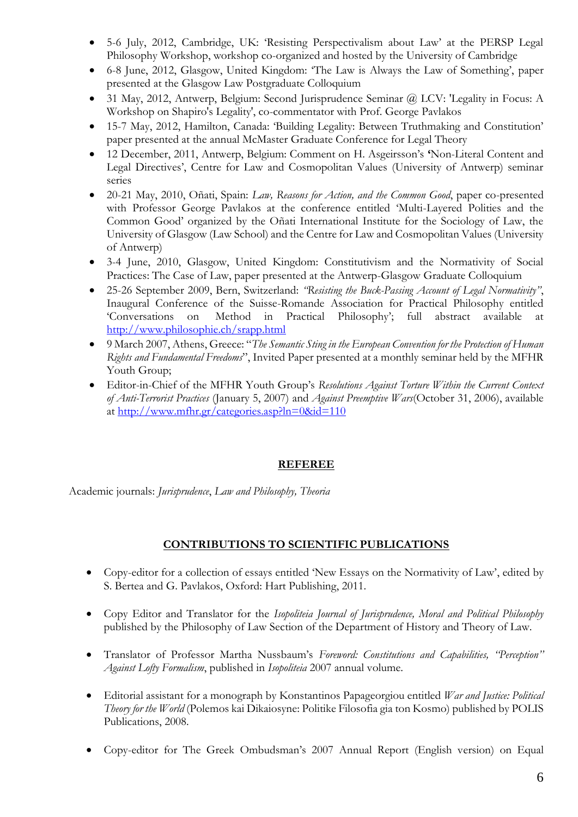- 5-6 July, 2012, Cambridge, UK: 'Resisting Perspectivalism about Law' at the PERSP Legal Philosophy Workshop, workshop co-organized and hosted by the University of Cambridge
- 6-8 June, 2012, Glasgow, United Kingdom: 'The Law is Always the Law of Something', paper presented at the Glasgow Law Postgraduate Colloquium
- 31 May, 2012, Antwerp, Belgium: Second Jurisprudence Seminar @ LCV: 'Legality in Focus: A Workshop on Shapiro's Legality', co-commentator with Prof. George Pavlakos
- 15-7 May, 2012, Hamilton, Canada: 'Building Legality: Between Truthmaking and Constitution' paper presented at the annual McMaster Graduate Conference for Legal Theory
- 12 December, 2011, Antwerp, Belgium: Comment on H. Asgeirsson's **'**Non-Literal Content and Legal Directives', Centre for Law and Cosmopolitan Values (University of Antwerp) seminar series
- 20-21 May, 2010, Oñati, Spain: *Law, Reasons for Action, and the Common Good*, paper co-presented with Professor George Pavlakos at the conference entitled 'Multi-Layered Polities and the Common Good' organized by the Oñati International Institute for the Sociology of Law, the University of Glasgow (Law School) and the Centre for Law and Cosmopolitan Values (University of Antwerp)
- 3-4 June, 2010, Glasgow, United Kingdom: Constitutivism and the Normativity of Social Practices: The Case of Law, paper presented at the Antwerp-Glasgow Graduate Colloquium
- 25-26 September 2009, Bern, Switzerland: *"Resisting the Buck-Passing Account of Legal Normativity"*, Inaugural Conference of the Suisse-Romande Association for Practical Philosophy entitled 'Conversations on Method in Practical Philosophy'; full abstract available <http://www.philosophie.ch/srapp.html>
- 9 March 2007, Athens, Greece: "*The Semantic Sting in the European Convention for the Protection of Human Rights and Fundamental Freedoms*", Invited Paper presented at a monthly seminar held by the MFHR Youth Group;
- Editor-in-Chief of the MFHR Youth Group's *Resolutions Against Torture Within the Current Context of Anti-Terrorist Practices* (January 5, 2007) and *Against Preemptive Wars*(October 31, 2006), available at<http://www.mfhr.gr/categories.asp?ln=0&id=110>

# **REFEREE**

Academic journals: *Jurisprudence*, *Law and Philosophy, Theoria*

# **CONTRIBUTIONS TO SCIENTIFIC PUBLICATIONS**

- Copy-editor for a collection of essays entitled 'New Essays on the Normativity of Law', edited by S. Bertea and G. Pavlakos, Oxford: Hart Publishing, 2011.
- Copy Editor and Translator for the *Isopoliteia Journal of Jurisprudence, Moral and Political Philosophy* published by the Philosophy of Law Section of the Department of History and Theory of Law.
- Translator of Professor Martha Nussbaum's *Foreword: Constitutions and Capabilities, ''Perception'' Against Lofty Formalism*, published in *Isopoliteia* 2007 annual volume.
- Editorial assistant for a monograph by Konstantinos Papageorgiou entitled *War and Justice: Political Theory for the World* (Polemos kai Dikaiosyne: Politike Filosofia gia ton Kosmo) published by POLIS Publications, 2008.
- Copy-editor for The Greek Ombudsman's 2007 Annual Report (English version) on Equal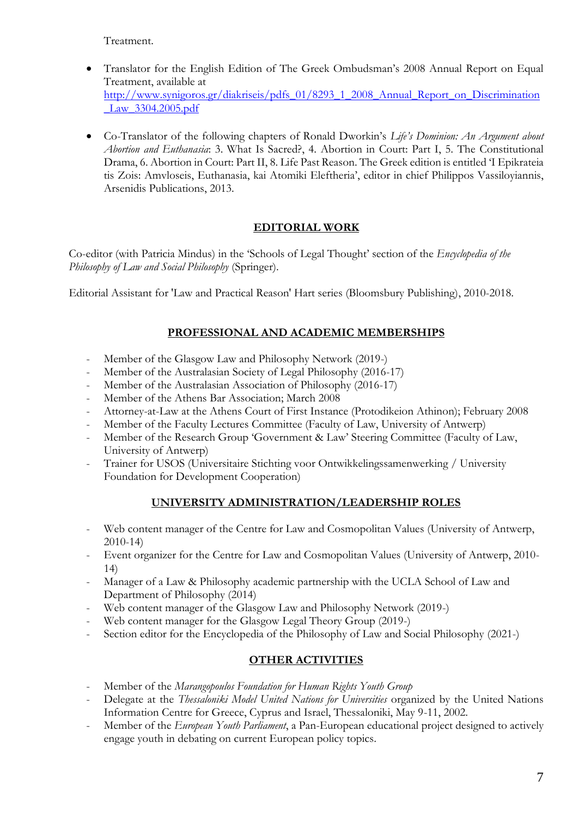Treatment.

- Translator for the English Edition of The Greek Ombudsman's 2008 Annual Report on Equal Treatment, available at [http://www.synigoros.gr/diakriseis/pdfs\\_01/8293\\_1\\_2008\\_Annual\\_Report\\_on\\_Discrimination](http://www.synigoros.gr/diakriseis/pdfs_01/8293_1_2008_Annual_Report_on_Discrimination_Law_3304.2005.pdf) [\\_Law\\_3304.2005.pdf](http://www.synigoros.gr/diakriseis/pdfs_01/8293_1_2008_Annual_Report_on_Discrimination_Law_3304.2005.pdf)
- Co-Translator of the following chapters of Ronald Dworkin's *Life's Dominion: An Argument about Abortion and Euthanasia*: 3. What Is Sacred?, 4. Abortion in Court: Part I, 5. The Constitutional Drama, 6. Abortion in Court: Part II, 8. Life Past Reason. The Greek edition is entitled 'I Epikrateia tis Zois: Amvloseis, Euthanasia, kai Atomiki Eleftheria', editor in chief Philippos Vassiloyiannis, Arsenidis Publications, 2013.

# **EDITORIAL WORK**

Co-editor (with Patricia Mindus) in the 'Schools of Legal Thought' section of the *Encyclopedia of the Philosophy of Law and Social Philosophy* (Springer).

Editorial Assistant for 'Law and Practical Reason' Hart series (Bloomsbury Publishing), 2010-2018.

# **PROFESSIONAL AND ACADEMIC MEMBERSHIPS**

- Member of the Glasgow Law and Philosophy Network (2019-)
- Member of the Australasian Society of Legal Philosophy (2016-17)
- Member of the Australasian Association of Philosophy (2016-17)
- Member of the Athens Bar Association; March 2008
- Attorney-at-Law at the Athens Court of First Instance (Protodikeion Athinon); February 2008
- Member of the Faculty Lectures Committee (Faculty of Law, University of Antwerp)
- Member of the Research Group 'Government & Law' Steering Committee (Faculty of Law, University of Antwerp)
- Trainer for USOS (Universitaire Stichting voor Ontwikkelingssamenwerking / University Foundation for Development Cooperation)

# **UNIVERSITY ADMINISTRATION/LEADERSHIP ROLES**

- Web content manager of the Centre for Law and Cosmopolitan Values (University of Antwerp, 2010-14)
- Event organizer for the Centre for Law and Cosmopolitan Values (University of Antwerp, 2010- 14)
- Manager of a Law & Philosophy academic partnership with the UCLA School of Law and Department of Philosophy (2014)
- Web content manager of the Glasgow Law and Philosophy Network (2019-)
- Web content manager for the Glasgow Legal Theory Group (2019-)
- Section editor for the Encyclopedia of the Philosophy of Law and Social Philosophy (2021-)

# **OTHER ACTIVITIES**

- Member of the *Marangopoulos Foundation for Human Rights Youth Group*
- Delegate at the *Thessaloniki Model United Nations for Universities* organized by the United Nations Information Centre for Greece, Cyprus and Israel, Thessaloniki, May 9-11, 2002.
- Member of the *European Youth Parliament*, a Pan-European educational project designed to actively engage youth in debating on current European policy topics.